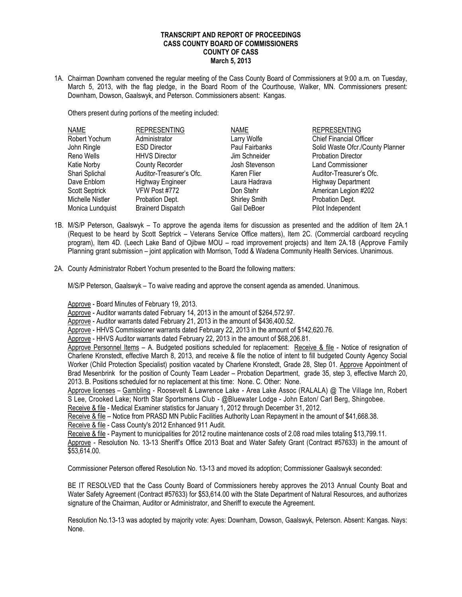## **TRANSCRIPT AND REPORT OF PROCEEDINGS CASS COUNTY BOARD OF COMMISSIONERS COUNTY OF CASS March 5, 2013**

1A. Chairman Downham convened the regular meeting of the Cass County Board of Commissioners at 9:00 a.m. on Tuesday, March 5, 2013, with the flag pledge, in the Board Room of the Courthouse, Walker, MN. Commissioners present: Downham, Dowson, Gaalswyk, and Peterson. Commissioners absent: Kangas.

Others present during portions of the meeting included:

| <b>NAME</b>           | <b>REPRESENTING</b>      | NAME                 | <b>REPRESENTING</b>              |
|-----------------------|--------------------------|----------------------|----------------------------------|
| Robert Yochum         | Administrator            | Larry Wolfe          | <b>Chief Financial Officer</b>   |
| John Ringle           | <b>ESD Director</b>      | Paul Fairbanks       | Solid Waste Ofcr./County Planner |
| Reno Wells            | <b>HHVS Director</b>     | Jim Schneider        | <b>Probation Director</b>        |
| Katie Norby           | <b>County Recorder</b>   | Josh Stevenson       | <b>Land Commissioner</b>         |
| Shari Splichal        | Auditor-Treasurer's Ofc. | Karen Flier          | Auditor-Treasurer's Ofc.         |
| Dave Enblom           | <b>Highway Engineer</b>  | Laura Hadrava        | <b>Highway Department</b>        |
| <b>Scott Septrick</b> | VFW Post #772            | Don Stehr            | American Legion #202             |
| Michelle Nistler      | Probation Dept.          | <b>Shirley Smith</b> | Probation Dept.                  |
| Monica Lundquist      | <b>Brainerd Dispatch</b> | Gail DeBoer          | Pilot Independent                |

- 1B. M/S/P Peterson, Gaalswyk To approve the agenda items for discussion as presented and the addition of Item 2A.1 (Request to be heard by Scott Septrick – Veterans Service Office matters), Item 2C. (Commercial cardboard recycling program), Item 4D. (Leech Lake Band of Ojibwe MOU – road improvement projects) and Item 2A.18 (Approve Family Planning grant submission – joint application with Morrison, Todd & Wadena Community Health Services. Unanimous.
- 2A. County Administrator Robert Yochum presented to the Board the following matters:

M/S/P Peterson, Gaalswyk – To waive reading and approve the consent agenda as amended. Unanimous.

Approve - Board Minutes of February 19, 2013.

Approve - Auditor warrants dated February 14, 2013 in the amount of \$264,572.97.

Approve - Auditor warrants dated February 21, 2013 in the amount of \$436,400.52.

Approve - HHVS Commissioner warrants dated February 22, 2013 in the amount of \$142,620.76.

Approve - HHVS Auditor warrants dated February 22, 2013 in the amount of \$68,206.81.

Approve Personnel Items – A. Budgeted positions scheduled for replacement: Receive & file - Notice of resignation of Charlene Kronstedt, effective March 8, 2013, and receive & file the notice of intent to fill budgeted County Agency Social Worker (Child Protection Specialist) position vacated by Charlene Kronstedt, Grade 28, Step 01. Approve Appointment of Brad Mesenbrink for the position of County Team Leader – Probation Department, grade 35, step 3, effective March 20, 2013. B. Positions scheduled for no replacement at this time: None. C. Other: None.

Approve licenses – Gambling - Roosevelt & Lawrence Lake - Area Lake Assoc (RALALA) @ The Village Inn, Robert S Lee, Crooked Lake; North Star Sportsmens Club - @Bluewater Lodge - John Eaton/ Carl Berg, Shingobee.

Receive & file - Medical Examiner statistics for January 1, 2012 through December 31, 2012.

Receive & file – Notice from PRASD MN Public Facilities Authority Loan Repayment in the amount of \$41,668.38.

Receive & file - Cass County's 2012 Enhanced 911 Audit.

Receive & file - Payment to municipalities for 2012 routine maintenance costs of 2.08 road miles totaling \$13,799.11.

Approve - Resolution No. 13-13 Sheriff's Office 2013 Boat and Water Safety Grant (Contract #57633) in the amount of \$53,614.00.

Commissioner Peterson offered Resolution No. 13-13 and moved its adoption; Commissioner Gaalswyk seconded:

BE IT RESOLVED that the Cass County Board of Commissioners hereby approves the 2013 Annual County Boat and Water Safety Agreement (Contract #57633) for \$53,614.00 with the State Department of Natural Resources, and authorizes signature of the Chairman, Auditor or Administrator, and Sheriff to execute the Agreement.

Resolution No.13-13 was adopted by majority vote: Ayes: Downham, Dowson, Gaalswyk, Peterson. Absent: Kangas. Nays: None.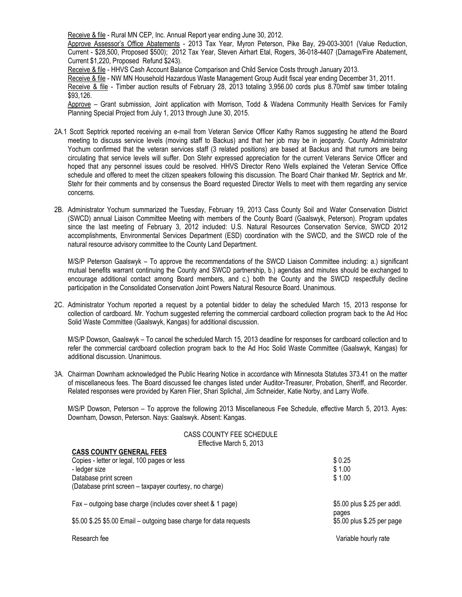Receive & file - Rural MN CEP, Inc. Annual Report year ending June 30, 2012.

Approve Assessor's Office Abatements - 2013 Tax Year, Myron Peterson, Pike Bay, 29-003-3001 (Value Reduction, Current - \$28,500, Proposed \$500); 2012 Tax Year, Steven Airhart Etal, Rogers, 36-018-4407 (Damage/Fire Abatement, Current \$1,220, Proposed Refund \$243).

Receive & file - HHVS Cash Account Balance Comparison and Child Service Costs through January 2013.

Receive & file - NW MN Household Hazardous Waste Management Group Audit fiscal year ending December 31, 2011.

Receive & file - Timber auction results of February 28, 2013 totaling 3,956.00 cords plus 8.70mbf saw timber totaling \$93,126.

Approve – Grant submission, Joint application with Morrison, Todd & Wadena Community Health Services for Family Planning Special Project from July 1, 2013 through June 30, 2015.

- 2A.1 Scott Septrick reported receiving an e-mail from Veteran Service Officer Kathy Ramos suggesting he attend the Board meeting to discuss service levels (moving staff to Backus) and that her job may be in jeopardy. County Administrator Yochum confirmed that the veteran services staff (3 related positions) are based at Backus and that rumors are being circulating that service levels will suffer. Don Stehr expressed appreciation for the current Veterans Service Officer and hoped that any personnel issues could be resolved. HHVS Director Reno Wells explained the Veteran Service Office schedule and offered to meet the citizen speakers following this discussion. The Board Chair thanked Mr. Septrick and Mr. Stehr for their comments and by consensus the Board requested Director Wells to meet with them regarding any service concerns.
- 2B. Administrator Yochum summarized the Tuesday, February 19, 2013 Cass County Soil and Water Conservation District (SWCD) annual Liaison Committee Meeting with members of the County Board (Gaalswyk, Peterson). Program updates since the last meeting of February 3, 2012 included: U.S. Natural Resources Conservation Service, SWCD 2012 accomplishments, Environmental Services Department (ESD) coordination with the SWCD, and the SWCD role of the natural resource advisory committee to the County Land Department.

M/S/P Peterson Gaalswyk – To approve the recommendations of the SWCD Liaison Committee including: a.) significant mutual benefits warrant continuing the County and SWCD partnership, b.) agendas and minutes should be exchanged to encourage additional contact among Board members, and c.) both the County and the SWCD respectfully decline participation in the Consolidated Conservation Joint Powers Natural Resource Board. Unanimous.

2C. Administrator Yochum reported a request by a potential bidder to delay the scheduled March 15, 2013 response for collection of cardboard. Mr. Yochum suggested referring the commercial cardboard collection program back to the Ad Hoc Solid Waste Committee (Gaalswyk, Kangas) for additional discussion.

M/S/P Dowson, Gaalswyk – To cancel the scheduled March 15, 2013 deadline for responses for cardboard collection and to refer the commercial cardboard collection program back to the Ad Hoc Solid Waste Committee (Gaalswyk, Kangas) for additional discussion. Unanimous.

3A. Chairman Downham acknowledged the Public Hearing Notice in accordance with Minnesota Statutes 373.41 on the matter of miscellaneous fees. The Board discussed fee changes listed under Auditor-Treasurer, Probation, Sheriff, and Recorder. Related responses were provided by Karen Flier, Shari Splichal, Jim Schneider, Katie Norby, and Larry Wolfe.

CASS COUNTY FEE SCHEDULE

M/S/P Dowson, Peterson – To approve the following 2013 Miscellaneous Fee Schedule, effective March 5, 2013. Ayes: Downham, Dowson, Peterson. Nays: Gaalswyk. Absent: Kangas.

| Effective March 5, 2013                                                         |                                      |
|---------------------------------------------------------------------------------|--------------------------------------|
| <b>CASS COUNTY GENERAL FEES</b>                                                 |                                      |
| Copies - letter or legal, 100 pages or less<br>- ledger size                    | \$0.25<br>\$1.00                     |
| Database print screen<br>(Database print screen – taxpayer courtesy, no charge) | \$1.00                               |
| Fax – outgoing base charge (includes cover sheet & 1 page)                      | \$5.00 plus \$.25 per addl.<br>pages |
| \$5.00 \$.25 \$5.00 Email – outgoing base charge for data requests              | \$5.00 plus \$.25 per page           |
| Research fee                                                                    | Variable hourly rate                 |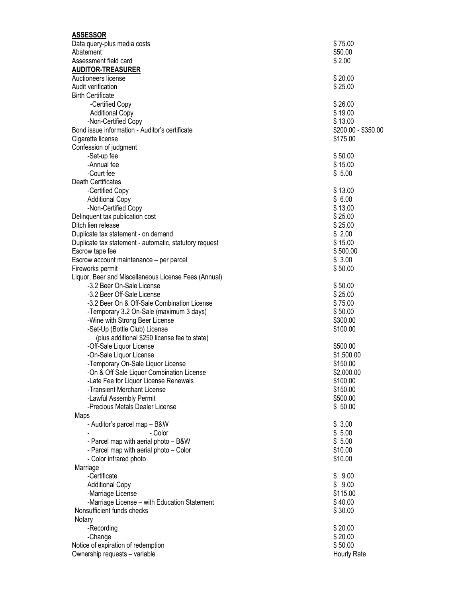| <b>ASSESSOR</b>                                        |                     |
|--------------------------------------------------------|---------------------|
| Data query-plus media costs                            | \$75.00             |
| Abatement                                              | \$50.00             |
| Assessment field card                                  | \$2.00              |
| <b>AUDITOR-TREASURER</b>                               |                     |
| Auctioneers license                                    | \$20.00             |
| Audit verification                                     | \$25.00             |
| <b>Birth Certificate</b>                               |                     |
| -Certified Copy                                        | \$26.00             |
| <b>Additional Copy</b>                                 | \$19.00             |
| -Non-Certified Copy                                    | \$13.00             |
| Bond issue information - Auditor's certificate         | \$200.00 - \$350.00 |
| Cigarette license                                      | \$175.00            |
| Confession of judgment                                 |                     |
| -Set-up fee                                            | \$50.00             |
| -Annual fee                                            | \$15.00             |
| -Court fee                                             | \$5.00              |
| Death Certificates                                     |                     |
| -Certified Copy                                        | \$13.00             |
| <b>Additional Copy</b>                                 | \$6.00              |
| -Non-Certified Copy                                    | \$13.00             |
| Delinquent tax publication cost                        | \$25.00             |
| Ditch lien release                                     | \$25.00             |
| Duplicate tax statement - on demand                    | \$2.00              |
| Duplicate tax statement - automatic, statutory request | \$15.00             |
| Escrow tape fee                                        | \$500.00            |
| Escrow account maintenance - per parcel                | \$3.00              |
| Fireworks permit                                       | \$50.00             |
| Liquor, Beer and Miscellaneous License Fees (Annual)   |                     |
| -3.2 Beer On-Sale License                              | \$50.00             |
| -3.2 Beer Off-Sale License                             | \$25.00             |
| -3.2 Beer On & Off-Sale Combination License            | \$75.00             |
| -Temporary 3.2 On-Sale (maximum 3 days)                | \$50.00             |
| -Wine with Strong Beer License                         | \$300.00            |
| -Set-Up (Bottle Club) License                          | \$100.00            |
| (plus additional \$250 license fee to state)           |                     |
| -Off-Sale Liquor License                               | \$500.00            |
| -On-Sale Liquor License                                | \$1,500.00          |
| -Temporary On-Sale Liquor License                      | \$150.00            |
| -On & Off Sale Liquor Combination License              | \$2,000.00          |
| -Late Fee for Liquor License Renewals                  | \$100.00            |
| -Transient Merchant License                            | \$150.00            |
| -Lawful Assembly Permit                                | \$500.00            |
| -Precious Metals Dealer License                        | \$50.00             |
| Maps                                                   |                     |
| - Auditor's parcel map - B&W                           | \$3.00              |
| - Color                                                | \$5.00              |
| - Parcel map with aerial photo - B&W                   | \$5.00              |
| - Parcel map with aerial photo - Color                 | \$10.00             |
| - Color infrared photo                                 | \$10.00             |
| Marriage                                               |                     |
| -Certificate                                           | \$9.00              |
| <b>Additional Copy</b>                                 | \$9.00              |
| -Marriage License                                      | \$115.00            |
| -Marriage License - with Education Statement           | \$40.00             |
| Nonsufficient funds checks                             | \$30.00             |
| Notary                                                 |                     |
| -Recording                                             | \$20.00             |
| -Change                                                | \$20.00             |
| Notice of expiration of redemption                     | \$50.00             |
| Ownership requests - variable                          | Hourly Rate         |
|                                                        |                     |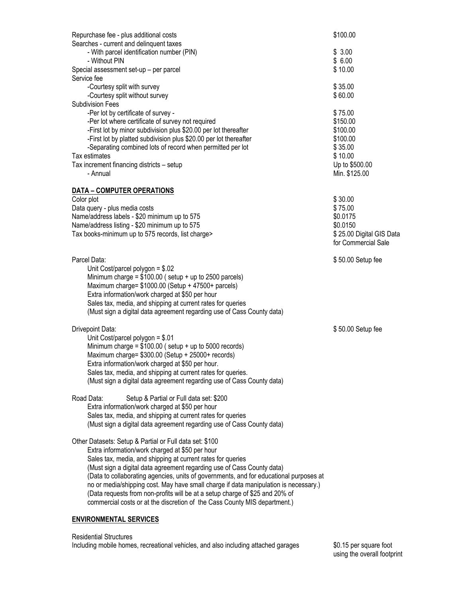| Repurchase fee - plus additional costs<br>Searches - current and delinquent taxes                                                                                                                                                                                                                                                                                                                                                                                                                                                                                                                  | \$100.00                                                                                             |
|----------------------------------------------------------------------------------------------------------------------------------------------------------------------------------------------------------------------------------------------------------------------------------------------------------------------------------------------------------------------------------------------------------------------------------------------------------------------------------------------------------------------------------------------------------------------------------------------------|------------------------------------------------------------------------------------------------------|
| - With parcel identification number (PIN)<br>- Without PIN<br>Special assessment set-up - per parcel                                                                                                                                                                                                                                                                                                                                                                                                                                                                                               | \$3.00<br>\$6.00<br>\$10.00                                                                          |
| Service fee<br>-Courtesy split with survey<br>-Courtesy split without survey<br><b>Subdivision Fees</b>                                                                                                                                                                                                                                                                                                                                                                                                                                                                                            | \$35.00<br>\$60.00                                                                                   |
| -Per lot by certificate of survey -<br>-Per lot where certificate of survey not required<br>-First lot by minor subdivision plus \$20.00 per lot thereafter<br>-First lot by platted subdivision plus \$20.00 per lot thereafter<br>-Separating combined lots of record when permitted per lot<br>Tax estimates<br>Tax increment financing districts - setup<br>- Annual                                                                                                                                                                                                                           | \$75.00<br>\$150.00<br>\$100.00<br>\$100.00<br>\$35.00<br>\$10.00<br>Up to \$500.00<br>Min. \$125.00 |
| <b>DATA - COMPUTER OPERATIONS</b><br>Color plot                                                                                                                                                                                                                                                                                                                                                                                                                                                                                                                                                    | \$30.00                                                                                              |
| Data query - plus media costs<br>Name/address labels - \$20 minimum up to 575<br>Name/address listing - \$20 minimum up to 575<br>Tax books-minimum up to 575 records, list charge>                                                                                                                                                                                                                                                                                                                                                                                                                | \$75.00<br>\$0.0175<br>\$0.0150<br>\$25.00 Digital GIS Data<br>for Commercial Sale                   |
| Parcel Data:<br>Unit Cost/parcel polygon = $$.02$<br>Minimum charge = $$100.00$ (setup + up to 2500 parcels)<br>Maximum charge= \$1000.00 (Setup + 47500+ parcels)<br>Extra information/work charged at \$50 per hour<br>Sales tax, media, and shipping at current rates for queries<br>(Must sign a digital data agreement regarding use of Cass County data)                                                                                                                                                                                                                                     | \$50.00 Setup fee                                                                                    |
| Drivepoint Data:<br>Unit Cost/parcel polygon = \$.01<br>Minimum charge = $$100.00$ (setup + up to 5000 records)<br>Maximum charge= \$300.00 (Setup + 25000+ records)<br>Extra information/work charged at \$50 per hour.<br>Sales tax, media, and shipping at current rates for queries.<br>(Must sign a digital data agreement regarding use of Cass County data)                                                                                                                                                                                                                                 | \$50.00 Setup fee                                                                                    |
| Road Data:<br>Setup & Partial or Full data set: \$200<br>Extra information/work charged at \$50 per hour<br>Sales tax, media, and shipping at current rates for queries<br>(Must sign a digital data agreement regarding use of Cass County data)                                                                                                                                                                                                                                                                                                                                                  |                                                                                                      |
| Other Datasets: Setup & Partial or Full data set: \$100<br>Extra information/work charged at \$50 per hour<br>Sales tax, media, and shipping at current rates for queries<br>(Must sign a digital data agreement regarding use of Cass County data)<br>(Data to collaborating agencies, units of governments, and for educational purposes at<br>no or media/shipping cost. May have small charge if data manipulation is necessary.)<br>(Data requests from non-profits will be at a setup charge of \$25 and 20% of<br>commercial costs or at the discretion of the Cass County MIS department.) |                                                                                                      |

## **ENVIRONMENTAL SERVICES**

Residential Structures Including mobile homes, recreational vehicles, and also including attached garages \$0.15 per square foot

using the overall footprint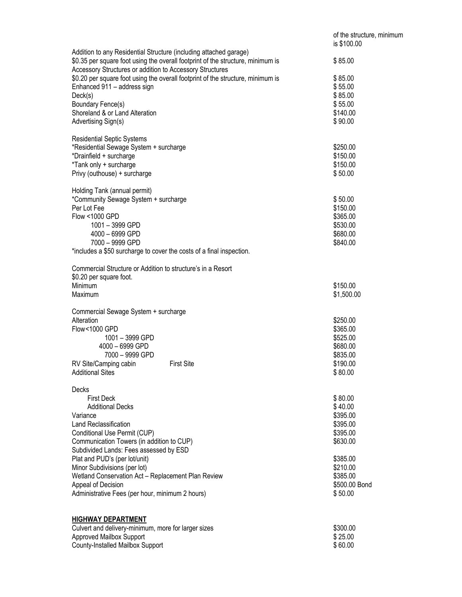|                                                                                                                                                                                                                  | of the structure, minimum<br>is \$100.00 |
|------------------------------------------------------------------------------------------------------------------------------------------------------------------------------------------------------------------|------------------------------------------|
| Addition to any Residential Structure (including attached garage)<br>\$0.35 per square foot using the overall footprint of the structure, minimum is<br>Accessory Structures or addition to Accessory Structures | \$85.00                                  |
| \$0.20 per square foot using the overall footprint of the structure, minimum is                                                                                                                                  | \$85.00                                  |
| Enhanced 911 - address sign                                                                                                                                                                                      | \$55.00                                  |
| Deck(s)                                                                                                                                                                                                          | \$85.00                                  |
| Boundary Fence(s)                                                                                                                                                                                                | \$55.00                                  |
| Shoreland & or Land Alteration                                                                                                                                                                                   | \$140.00                                 |
| Advertising Sign(s)                                                                                                                                                                                              | \$90.00                                  |
| <b>Residential Septic Systems</b>                                                                                                                                                                                |                                          |
| *Residential Sewage System + surcharge                                                                                                                                                                           | \$250.00<br>\$150.00                     |
| *Drainfield + surcharge<br>*Tank only + surcharge                                                                                                                                                                | \$150.00                                 |
| Privy (outhouse) + surcharge                                                                                                                                                                                     | \$50.00                                  |
|                                                                                                                                                                                                                  |                                          |
| Holding Tank (annual permit)<br>*Community Sewage System + surcharge                                                                                                                                             | \$50.00                                  |
| Per Lot Fee                                                                                                                                                                                                      | \$150.00                                 |
| <b>Flow &lt;1000 GPD</b>                                                                                                                                                                                         | \$365.00                                 |
| 1001 - 3999 GPD                                                                                                                                                                                                  | \$530.00                                 |
| 4000 - 6999 GPD                                                                                                                                                                                                  | \$680.00                                 |
| 7000 - 9999 GPD                                                                                                                                                                                                  | \$840.00                                 |
| *includes a \$50 surcharge to cover the costs of a final inspection.                                                                                                                                             |                                          |
| Commercial Structure or Addition to structure's in a Resort<br>\$0.20 per square foot.                                                                                                                           |                                          |
| Minimum                                                                                                                                                                                                          | \$150.00                                 |
| Maximum                                                                                                                                                                                                          | \$1,500.00                               |
| Commercial Sewage System + surcharge                                                                                                                                                                             |                                          |
| Alteration                                                                                                                                                                                                       | \$250.00                                 |
| <b>Flow&lt;1000 GPD</b>                                                                                                                                                                                          | \$365.00                                 |
| 1001-3999 GPD                                                                                                                                                                                                    | \$525.00<br>\$680.00                     |
| 4000 - 6999 GPD<br>7000 - 9999 GPD                                                                                                                                                                               | \$835.00                                 |
| <b>First Site</b>                                                                                                                                                                                                | \$190.00                                 |
| RV Site/Camping cabin<br><b>Additional Sites</b>                                                                                                                                                                 | \$80.00                                  |
| Decks                                                                                                                                                                                                            |                                          |
| <b>First Deck</b>                                                                                                                                                                                                | \$80.00                                  |
| <b>Additional Decks</b>                                                                                                                                                                                          | \$40.00                                  |
| Variance                                                                                                                                                                                                         | \$395.00                                 |
| Land Reclassification                                                                                                                                                                                            | \$395.00                                 |
| Conditional Use Permit (CUP)                                                                                                                                                                                     | \$395.00                                 |
| Communication Towers (in addition to CUP)                                                                                                                                                                        | \$630.00                                 |
| Subdivided Lands: Fees assessed by ESD                                                                                                                                                                           |                                          |
| Plat and PUD's (per lot/unit)                                                                                                                                                                                    | \$385.00                                 |
| Minor Subdivisions (per lot)                                                                                                                                                                                     | \$210.00                                 |
| Wetland Conservation Act - Replacement Plan Review                                                                                                                                                               | \$385.00                                 |
| Appeal of Decision                                                                                                                                                                                               | \$500.00 Bond                            |
| Administrative Fees (per hour, minimum 2 hours)                                                                                                                                                                  | \$50.00                                  |
| <b>HIGHWAY DEPARTMENT</b>                                                                                                                                                                                        |                                          |
| Culvert and delivery-minimum, more for larger sizes                                                                                                                                                              | \$300.00                                 |

Approved Mailbox Support \$ 25.00 County-Installed Mailbox Support \$ 60.00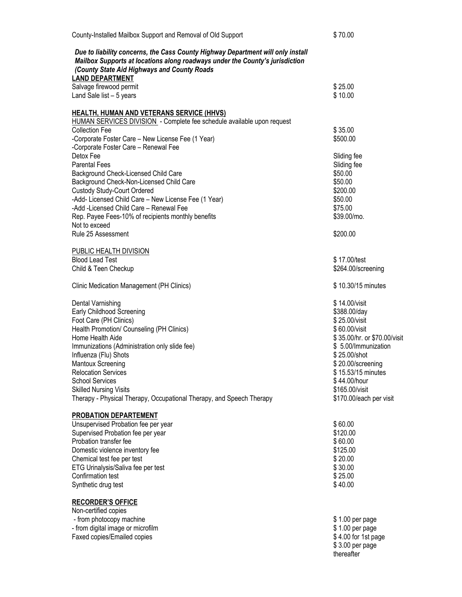| County-Installed Mailbox Support and Removal of Old Support                                                                                                                                                                              | \$70.00                                |
|------------------------------------------------------------------------------------------------------------------------------------------------------------------------------------------------------------------------------------------|----------------------------------------|
| Due to liability concerns, the Cass County Highway Department will only install<br>Mailbox Supports at locations along roadways under the County's jurisdiction<br>(County State Aid Highways and County Roads<br><b>LAND DEPARTMENT</b> |                                        |
| Salvage firewood permit                                                                                                                                                                                                                  | \$25.00                                |
| Land Sale list $-5$ years                                                                                                                                                                                                                | \$10.00                                |
| <b>HEALTH, HUMAN AND VETERANS SERVICE (HHVS)</b>                                                                                                                                                                                         |                                        |
| HUMAN SERVICES DIVISION - Complete fee schedule available upon request                                                                                                                                                                   |                                        |
| <b>Collection Fee</b>                                                                                                                                                                                                                    | \$35.00                                |
| -Corporate Foster Care - New License Fee (1 Year)<br>-Corporate Foster Care - Renewal Fee                                                                                                                                                | \$500.00                               |
| Detox Fee                                                                                                                                                                                                                                | Sliding fee                            |
| <b>Parental Fees</b>                                                                                                                                                                                                                     | Sliding fee                            |
| Background Check-Licensed Child Care                                                                                                                                                                                                     | \$50.00                                |
| Background Check-Non-Licensed Child Care                                                                                                                                                                                                 | \$50.00                                |
| <b>Custody Study-Court Ordered</b>                                                                                                                                                                                                       | \$200.00                               |
| -Add- Licensed Child Care - New License Fee (1 Year)                                                                                                                                                                                     | \$50.00                                |
| -Add -Licensed Child Care - Renewal Fee                                                                                                                                                                                                  | \$75.00                                |
| Rep. Payee Fees-10% of recipients monthly benefits<br>Not to exceed                                                                                                                                                                      | \$39.00/mo.                            |
| Rule 25 Assessment                                                                                                                                                                                                                       | \$200.00                               |
| PUBLIC HEALTH DIVISION                                                                                                                                                                                                                   |                                        |
| <b>Blood Lead Test</b>                                                                                                                                                                                                                   | \$17.00/test                           |
| Child & Teen Checkup                                                                                                                                                                                                                     | \$264.00/screening                     |
| <b>Clinic Medication Management (PH Clinics)</b>                                                                                                                                                                                         | \$10.30/15 minutes                     |
| Dental Varnishing                                                                                                                                                                                                                        | \$14.00/visit                          |
| Early Childhood Screening                                                                                                                                                                                                                | \$388.00/day                           |
| Foot Care (PH Clinics)                                                                                                                                                                                                                   | \$25.00/visit                          |
| Health Promotion/ Counseling (PH Clinics)                                                                                                                                                                                                | \$60.00/visit                          |
| Home Health Aide                                                                                                                                                                                                                         | \$35.00/hr. or \$70.00/visit           |
| Immunizations (Administration only slide fee)                                                                                                                                                                                            | \$ 5.00/Immunization<br>\$25.00/shot   |
| Influenza (Flu) Shots<br><b>Mantoux Screening</b>                                                                                                                                                                                        | \$20.00/screening                      |
| <b>Relocation Services</b>                                                                                                                                                                                                               | \$15.53/15 minutes                     |
| <b>School Services</b>                                                                                                                                                                                                                   | \$44.00/hour                           |
| <b>Skilled Nursing Visits</b>                                                                                                                                                                                                            | \$165.00/visit                         |
| Therapy - Physical Therapy, Occupational Therapy, and Speech Therapy                                                                                                                                                                     | \$170.00/each per visit                |
| <b>PROBATION DEPARTEMENT</b>                                                                                                                                                                                                             |                                        |
| Unsupervised Probation fee per year                                                                                                                                                                                                      | \$60.00                                |
| Supervised Probation fee per year                                                                                                                                                                                                        | \$120.00                               |
| Probation transfer fee                                                                                                                                                                                                                   | \$60.00<br>\$125.00                    |
| Domestic violence inventory fee<br>Chemical test fee per test                                                                                                                                                                            | \$20.00                                |
| ETG Urinalysis/Saliva fee per test                                                                                                                                                                                                       | \$30.00                                |
| Confirmation test                                                                                                                                                                                                                        | \$25.00                                |
| Synthetic drug test                                                                                                                                                                                                                      | \$40.00                                |
| <b>RECORDER'S OFFICE</b>                                                                                                                                                                                                                 |                                        |
| Non-certified copies                                                                                                                                                                                                                     |                                        |
| - from photocopy machine                                                                                                                                                                                                                 | \$1.00 per page                        |
| - from digital image or microfilm                                                                                                                                                                                                        | \$1.00 per page                        |
| Faxed copies/Emailed copies                                                                                                                                                                                                              | \$4.00 for 1st page<br>\$3.00 per page |
|                                                                                                                                                                                                                                          | thereafter                             |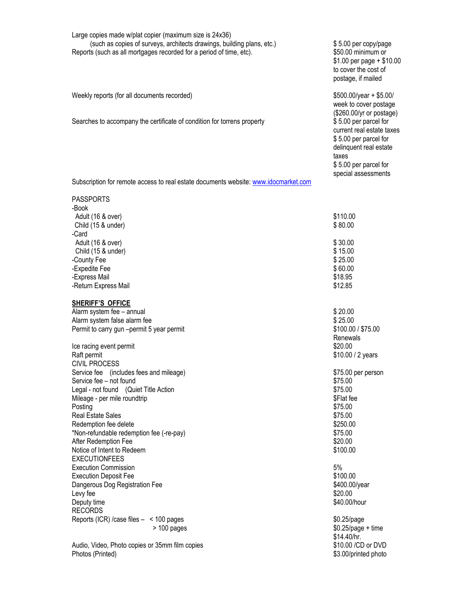| Large copies made w/plat copier (maximum size is 24x36)                                                                                       |                                                                                                                                                                                            |
|-----------------------------------------------------------------------------------------------------------------------------------------------|--------------------------------------------------------------------------------------------------------------------------------------------------------------------------------------------|
| (such as copies of surveys, architects drawings, building plans, etc.)<br>Reports (such as all mortgages recorded for a period of time, etc). | \$5.00 per copy/page<br>\$50.00 minimum or<br>$$1.00$ per page + \$10.00<br>to cover the cost of<br>postage, if mailed                                                                     |
| Weekly reports (for all documents recorded)                                                                                                   | $$500.00/year + $5.00/$<br>week to cover postage                                                                                                                                           |
| Searches to accompany the certificate of condition for torrens property                                                                       | (\$260.00/yr or postage)<br>\$5.00 per parcel for<br>current real estate taxes<br>\$5.00 per parcel for<br>delinquent real estate<br>taxes<br>\$5.00 per parcel for<br>special assessments |
| Subscription for remote access to real estate documents website: www.idocmarket.com                                                           |                                                                                                                                                                                            |
| <b>PASSPORTS</b>                                                                                                                              |                                                                                                                                                                                            |
| -Book<br>Adult (16 & over)<br>Child (15 & under)<br>-Card                                                                                     | \$110.00<br>\$80.00                                                                                                                                                                        |
| Adult (16 & over)                                                                                                                             | \$30.00                                                                                                                                                                                    |
| Child (15 & under)<br>-County Fee                                                                                                             | \$15.00<br>\$25.00                                                                                                                                                                         |
| -Expedite Fee                                                                                                                                 | \$60.00                                                                                                                                                                                    |
| -Express Mail                                                                                                                                 | \$18.95                                                                                                                                                                                    |
| -Return Express Mail                                                                                                                          | \$12.85                                                                                                                                                                                    |
| <b>SHERIFF'S OFFICE</b>                                                                                                                       |                                                                                                                                                                                            |
| Alarm system fee - annual                                                                                                                     | \$20.00                                                                                                                                                                                    |
| Alarm system false alarm fee<br>Permit to carry gun -permit 5 year permit                                                                     | \$25.00<br>\$100.00 / \$75.00                                                                                                                                                              |
|                                                                                                                                               | Renewals                                                                                                                                                                                   |
| Ice racing event permit                                                                                                                       | \$20.00                                                                                                                                                                                    |
| Raft permit                                                                                                                                   | \$10.00 / 2 years                                                                                                                                                                          |
| CIVIL PROCESS<br>Service fee (includes fees and mileage)                                                                                      | \$75.00 per person                                                                                                                                                                         |
| Service fee - not found                                                                                                                       | \$75.00                                                                                                                                                                                    |
| Legal - not found (Quiet Title Action                                                                                                         | \$75.00                                                                                                                                                                                    |
|                                                                                                                                               |                                                                                                                                                                                            |
| Mileage - per mile roundtrip                                                                                                                  | \$Flat fee                                                                                                                                                                                 |
| Posting                                                                                                                                       | \$75.00                                                                                                                                                                                    |
| <b>Real Estate Sales</b>                                                                                                                      | \$75.00                                                                                                                                                                                    |
| Redemption fee delete                                                                                                                         | \$250.00<br>\$75.00                                                                                                                                                                        |
| *Non-refundable redemption fee (-re-pay)<br>After Redemption Fee                                                                              | \$20.00                                                                                                                                                                                    |
| Notice of Intent to Redeem                                                                                                                    | \$100.00                                                                                                                                                                                   |
| <b>EXECUTIONFEES</b>                                                                                                                          |                                                                                                                                                                                            |
| <b>Execution Commission</b><br><b>Execution Deposit Fee</b>                                                                                   | 5%<br>\$100.00                                                                                                                                                                             |
| Dangerous Dog Registration Fee                                                                                                                | \$400.00/year                                                                                                                                                                              |
| Levy fee                                                                                                                                      | \$20.00                                                                                                                                                                                    |
| Deputy time                                                                                                                                   | \$40.00/hour                                                                                                                                                                               |
| <b>RECORDS</b><br>Reports (ICR) / case files - < 100 pages                                                                                    | \$0.25/page                                                                                                                                                                                |
| $>$ 100 pages                                                                                                                                 | $$0.25$ /page + time                                                                                                                                                                       |
| Audio, Video, Photo copies or 35mm film copies                                                                                                | \$14.40/hr.<br>\$10.00 / CD or DVD                                                                                                                                                         |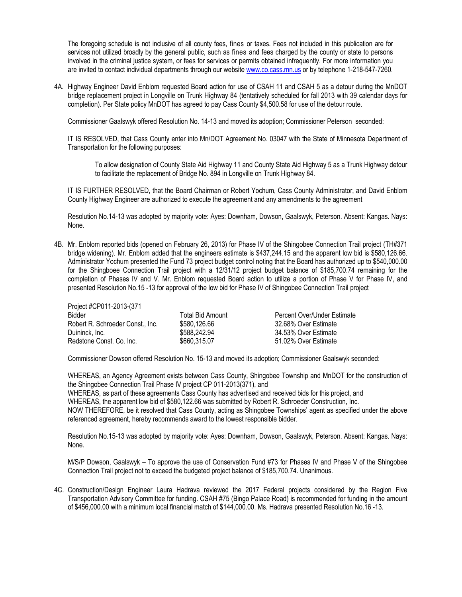The foregoing schedule is not inclusive of all county fees, fines or taxes. Fees not included in this publication are for services not utilized broadly by the general public, such as fines and fees charged by the county or state to persons involved in the criminal justice system, or fees for services or permits obtained infrequently. For more information you are invited to contact individual departments through our websit[e www.co.cass.mn.us](http://www.co.cass.mn.us/) or by telephone 1-218-547-7260.

4A. Highway Engineer David Enblom requested Board action for use of CSAH 11 and CSAH 5 as a detour during the MnDOT bridge replacement project in Longville on Trunk Highway 84 (tentatively scheduled for fall 2013 with 39 calendar days for completion). Per State policy MnDOT has agreed to pay Cass County \$4,500.58 for use of the detour route.

Commissioner Gaalswyk offered Resolution No. 14-13 and moved its adoption; Commissioner Peterson seconded:

IT IS RESOLVED, that Cass County enter into Mn/DOT Agreement No. 03047 with the State of Minnesota Department of Transportation for the following purposes:

To allow designation of County State Aid Highway 11 and County State Aid Highway 5 as a Trunk Highway detour to facilitate the replacement of Bridge No. 894 in Longville on Trunk Highway 84.

IT IS FURTHER RESOLVED, that the Board Chairman or Robert Yochum, Cass County Administrator, and David Enblom County Highway Engineer are authorized to execute the agreement and any amendments to the agreement

Resolution No.14-13 was adopted by majority vote: Ayes: Downham, Dowson, Gaalswyk, Peterson. Absent: Kangas. Nays: None.

4B. Mr. Enblom reported bids (opened on February 26, 2013) for Phase IV of the Shingobee Connection Trail project (TH#371 bridge widening). Mr. Enblom added that the engineers estimate is \$437,244.15 and the apparent low bid is \$580,126.66. Administrator Yochum presented the Fund 73 project budget control noting that the Board has authorized up to \$540,000.00 for the Shingboee Connection Trail project with a 12/31/12 project budget balance of \$185,700.74 remaining for the completion of Phases IV and V. Mr. Enblom requested Board action to utilize a portion of Phase V for Phase IV, and presented Resolution No.15 -13 for approval of the low bid for Phase IV of Shingobee Connection Trail project

| Project #CP011-2013-(371         |                  |                             |
|----------------------------------|------------------|-----------------------------|
| Bidder                           | Total Bid Amount | Percent Over/Under Estimate |
| Robert R. Schroeder Const., Inc. | \$580,126.66     | 32.68% Over Estimate        |
| Duininck, Inc.                   | \$588,242.94     | 34.53% Over Estimate        |
| Redstone Const. Co. Inc.         | \$660,315.07     | 51.02% Over Estimate        |

Commissioner Dowson offered Resolution No. 15-13 and moved its adoption; Commissioner Gaalswyk seconded:

WHEREAS, an Agency Agreement exists between Cass County, Shingobee Township and MnDOT for the construction of the Shingobee Connection Trail Phase IV project CP 011-2013(371), and

WHEREAS, as part of these agreements Cass County has advertised and received bids for this project, and WHEREAS, the apparent low bid of \$580,122.66 was submitted by Robert R. Schroeder Construction, Inc.

NOW THEREFORE, be it resolved that Cass County, acting as Shingobee Townships' agent as specified under the above referenced agreement, hereby recommends award to the lowest responsible bidder.

Resolution No.15-13 was adopted by majority vote: Ayes: Downham, Dowson, Gaalswyk, Peterson. Absent: Kangas. Nays: None.

M/S/P Dowson, Gaalswyk – To approve the use of Conservation Fund #73 for Phases IV and Phase V of the Shingobee Connection Trail project not to exceed the budgeted project balance of \$185,700.74. Unanimous.

4C. Construction/Design Engineer Laura Hadrava reviewed the 2017 Federal projects considered by the Region Five Transportation Advisory Committee for funding. CSAH #75 (Bingo Palace Road) is recommended for funding in the amount of \$456,000.00 with a minimum local financial match of \$144,000.00. Ms. Hadrava presented Resolution No.16 -13.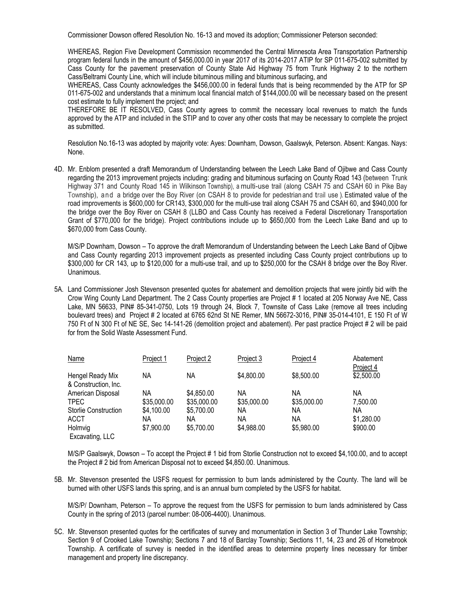Commissioner Dowson offered Resolution No. 16-13 and moved its adoption; Commissioner Peterson seconded:

WHEREAS, Region Five Development Commission recommended the Central Minnesota Area Transportation Partnership program federal funds in the amount of \$456,000.00 in year 2017 of its 2014-2017 ATIP for SP 011-675-002 submitted by Cass County for the pavement preservation of County State Aid Highway 75 from Trunk Highway 2 to the northern Cass/Beltrami County Line, which will include bituminous milling and bituminous surfacing, and

WHEREAS, Cass County acknowledges the \$456,000.00 in federal funds that is being recommended by the ATP for SP 011-675-002 and understands that a minimum local financial match of \$144,000.00 will be necessary based on the present cost estimate to fully implement the project; and

THEREFORE BE IT RESOLVED, Cass County agrees to commit the necessary local revenues to match the funds approved by the ATP and included in the STIP and to cover any other costs that may be necessary to complete the project as submitted.

Resolution No.16-13 was adopted by majority vote: Ayes: Downham, Dowson, Gaalswyk, Peterson. Absent: Kangas. Nays: None.

4D. Mr. Enblom presented a draft Memorandum of Understanding between the Leech Lake Band of Ojibwe and Cass County regarding the 2013 improvement projects including: grading and bituminous surfacing on County Road 143 (between Trunk Highway 371 and County Road 145 in Wilkinson Township), a multi-use trail (along CSAH 75 and CSAH 60 in Pike Bay Township), and a bridge over the Boy River (on CSAH 8 to provide for pedestrianand trail use ). Estimated value of the road improvements is \$600,000 for CR143, \$300,000 for the multi-use trail along CSAH 75 and CSAH 60, and \$940,000 for the bridge over the Boy River on CSAH 8 (LLBO and Cass County has received a Federal Discretionary Transportation Grant of \$770,000 for the bridge). Project contributions include up to \$650,000 from the Leech Lake Band and up to \$670,000 from Cass County.

M/S/P Downham, Dowson – To approve the draft Memorandum of Understanding between the Leech Lake Band of Ojibwe and Cass County regarding 2013 improvement projects as presented including Cass County project contributions up to \$300,000 for CR 143, up to \$120,000 for a multi-use trail, and up to \$250,000 for the CSAH 8 bridge over the Boy River. Unanimous.

5A. Land Commissioner Josh Stevenson presented quotes for abatement and demolition projects that were jointly bid with the Crow Wing County Land Department. The 2 Cass County properties are Project # 1 located at 205 Norway Ave NE, Cass Lake, MN 56633, PIN# 85-341-0750, Lots 19 through 24, Block 7, Townsite of Cass Lake (remove all trees including boulevard trees) and Project # 2 located at 6765 62nd St NE Remer, MN 56672-3016, PIN# 35-014-4101, E 150 Ft of W 750 Ft of N 300 Ft of NE SE, Sec 14-141-26 (demolition project and abatement). Per past practice Project # 2 will be paid for from the Solid Waste Assessment Fund.

| Name                                     | Project 1   | Project 2   | Project 3   | Project 4   | Abatement<br>Project 4 |
|------------------------------------------|-------------|-------------|-------------|-------------|------------------------|
| Hengel Ready Mix<br>& Construction, Inc. | ΝA          | NA.         | \$4,800.00  | \$8,500.00  | \$2,500.00             |
| American Disposal                        | ΝA          | \$4,850.00  | ΝA          | ΝA          | NА                     |
| TPEC                                     | \$35,000.00 | \$35,000.00 | \$35,000.00 | \$35,000.00 | 7,500.00               |
| <b>Storlie Construction</b>              | \$4,100.00  | \$5,700.00  | ΝA          | ΝA          | ΝA                     |
| ACCT                                     | ΝA          | ΝA          | ΝA          | ΝA          | \$1,280.00             |
| Holmvig                                  | \$7,900.00  | \$5,700.00  | \$4,988.00  | \$5,980.00  | \$900.00               |
| Excavating, LLC                          |             |             |             |             |                        |

M/S/P Gaalswyk, Dowson – To accept the Project # 1 bid from Storlie Construction not to exceed \$4,100.00, and to accept the Project # 2 bid from American Disposal not to exceed \$4,850.00. Unanimous.

5B. Mr. Stevenson presented the USFS request for permission to burn lands administered by the County. The land will be burned with other USFS lands this spring, and is an annual burn completed by the USFS for habitat.

M/S/P/ Downham, Peterson – To approve the request from the USFS for permission to burn lands administered by Cass County in the spring of 2013 (parcel number: 08-006-4400). Unanimous.

5C. Mr. Stevenson presented quotes for the certificates of survey and monumentation in Section 3 of Thunder Lake Township; Section 9 of Crooked Lake Township; Sections 7 and 18 of Barclay Township; Sections 11, 14, 23 and 26 of Homebrook Township. A certificate of survey is needed in the identified areas to determine property lines necessary for timber management and property line discrepancy.